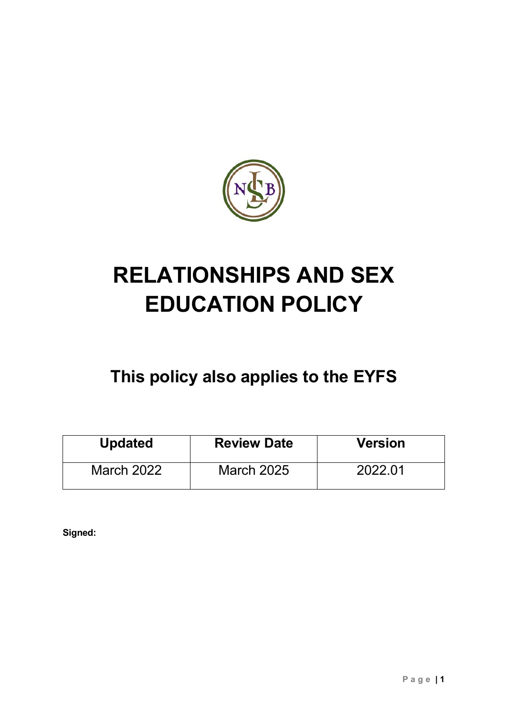

# **RELATIONSHIPS AND SEX EDUCATION POLICY**

# **This policy also applies to the EYFS**

| <b>Updated</b>    | <b>Review Date</b> | <b>Version</b> |
|-------------------|--------------------|----------------|
| <b>March 2022</b> | <b>March 2025</b>  | 2022.01        |

**Signed:**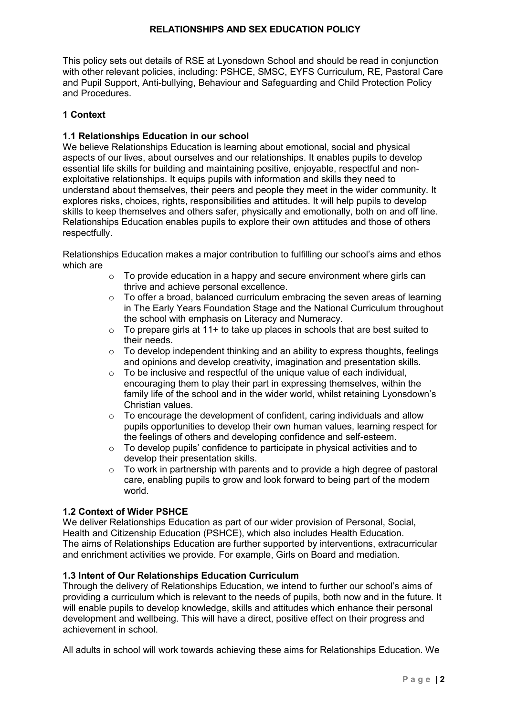#### **RELATIONSHIPS AND SEX EDUCATION POLICY**

This policy sets out details of RSE at Lyonsdown School and should be read in conjunction with other relevant policies, including: PSHCE, SMSC, EYFS Curriculum, RE, Pastoral Care and Pupil Support, Anti-bullying, Behaviour and Safeguarding and Child Protection Policy and Procedures.

#### **1 Context**

#### **1.1 Relationships Education in our school**

We believe Relationships Education is learning about emotional, social and physical aspects of our lives, about ourselves and our relationships. It enables pupils to develop essential life skills for building and maintaining positive, enjoyable, respectful and nonexploitative relationships. It equips pupils with information and skills they need to understand about themselves, their peers and people they meet in the wider community. It explores risks, choices, rights, responsibilities and attitudes. It will help pupils to develop skills to keep themselves and others safer, physically and emotionally, both on and off line. Relationships Education enables pupils to explore their own attitudes and those of others respectfully.

Relationships Education makes a major contribution to fulfilling our school's aims and ethos which are

- $\circ$  To provide education in a happy and secure environment where girls can thrive and achieve personal excellence.
- $\circ$  To offer a broad, balanced curriculum embracing the seven areas of learning in The Early Years Foundation Stage and the National Curriculum throughout the school with emphasis on Literacy and Numeracy.
- $\circ$  To prepare girls at 11+ to take up places in schools that are best suited to their needs.
- $\circ$  To develop independent thinking and an ability to express thoughts, feelings and opinions and develop creativity, imagination and presentation skills.
- o To be inclusive and respectful of the unique value of each individual, encouraging them to play their part in expressing themselves, within the family life of the school and in the wider world, whilst retaining Lyonsdown's Christian values.
- $\circ$  To encourage the development of confident, caring individuals and allow pupils opportunities to develop their own human values, learning respect for the feelings of others and developing confidence and self-esteem.
- o To develop pupils' confidence to participate in physical activities and to develop their presentation skills.
- $\circ$  To work in partnership with parents and to provide a high degree of pastoral care, enabling pupils to grow and look forward to being part of the modern world.

#### **1.2 Context of Wider PSHCE**

We deliver Relationships Education as part of our wider provision of Personal, Social, Health and Citizenship Education (PSHCE), which also includes Health Education. The aims of Relationships Education are further supported by interventions, extracurricular and enrichment activities we provide. For example, Girls on Board and mediation.

#### **1.3 Intent of Our Relationships Education Curriculum**

Through the delivery of Relationships Education, we intend to further our school's aims of providing a curriculum which is relevant to the needs of pupils, both now and in the future. It will enable pupils to develop knowledge, skills and attitudes which enhance their personal development and wellbeing. This will have a direct, positive effect on their progress and achievement in school.

All adults in school will work towards achieving these aims for Relationships Education. We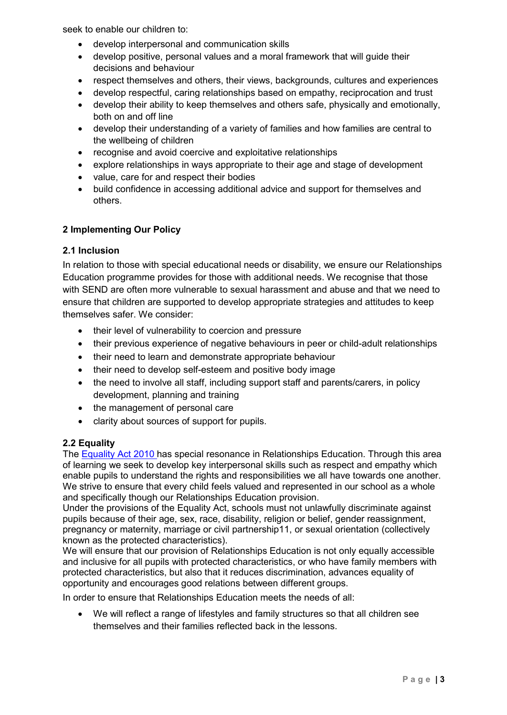seek to enable our children to:

- develop interpersonal and communication skills
- develop positive, personal values and a moral framework that will guide their decisions and behaviour
- respect themselves and others, their views, backgrounds, cultures and experiences
- develop respectful, caring relationships based on empathy, reciprocation and trust
- develop their ability to keep themselves and others safe, physically and emotionally, both on and off line
- develop their understanding of a variety of families and how families are central to the wellbeing of children
- recognise and avoid coercive and exploitative relationships
- explore relationships in ways appropriate to their age and stage of development
- value, care for and respect their bodies
- build confidence in accessing additional advice and support for themselves and others.

#### **2 Implementing Our Policy**

#### **2.1 Inclusion**

In relation to those with special educational needs or disability, we ensure our Relationships Education programme provides for those with additional needs. We recognise that those with SEND are often more vulnerable to sexual harassment and abuse and that we need to ensure that children are supported to develop appropriate strategies and attitudes to keep themselves safer. We consider:

- their level of vulnerability to coercion and pressure
- their previous experience of negative behaviours in peer or child-adult relationships
- their need to learn and demonstrate appropriate behaviour
- their need to develop self-esteem and positive body image
- the need to involve all staff, including support staff and parents/carers, in policy development, planning and training
- the management of personal care
- clarity about sources of support for pupils.

#### **2.2 Equality**

The [Equality Act 2010](http://www.legislation.gov.uk/ukpga/2010/15/contents) has special resonance in Relationships Education. Through this area of learning we seek to develop key interpersonal skills such as respect and empathy which enable pupils to understand the rights and responsibilities we all have towards one another. We strive to ensure that every child feels valued and represented in our school as a whole and specifically though our Relationships Education provision.

Under the provisions of the Equality Act, schools must not unlawfully discriminate against pupils because of their age, sex, race, disability, religion or belief, gender reassignment, pregnancy or maternity, marriage or civil partnership11, or sexual orientation (collectively known as the protected characteristics).

We will ensure that our provision of Relationships Education is not only equally accessible and inclusive for all pupils with protected characteristics, or who have family members with protected characteristics, but also that it reduces discrimination, advances equality of opportunity and encourages good relations between different groups.

In order to ensure that Relationships Education meets the needs of all:

• We will reflect a range of lifestyles and family structures so that all children see themselves and their families reflected back in the lessons.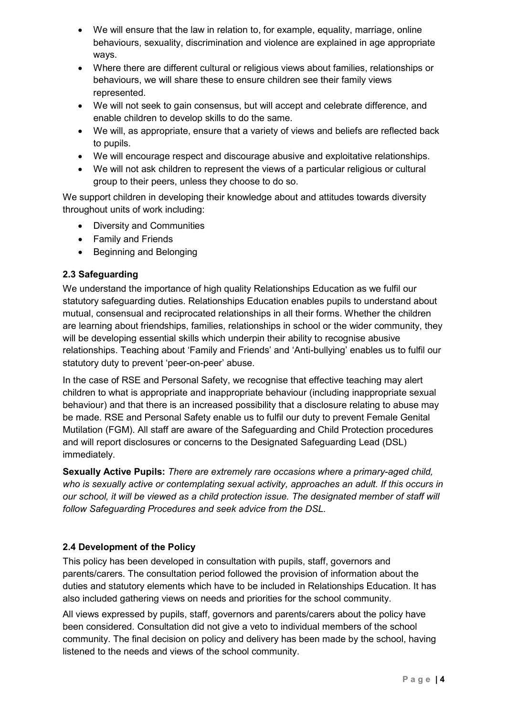- We will ensure that the law in relation to, for example, equality, marriage, online behaviours, sexuality, discrimination and violence are explained in age appropriate ways.
- Where there are different cultural or religious views about families, relationships or behaviours, we will share these to ensure children see their family views represented.
- We will not seek to gain consensus, but will accept and celebrate difference, and enable children to develop skills to do the same.
- We will, as appropriate, ensure that a variety of views and beliefs are reflected back to pupils.
- We will encourage respect and discourage abusive and exploitative relationships.
- We will not ask children to represent the views of a particular religious or cultural group to their peers, unless they choose to do so.

We support children in developing their knowledge about and attitudes towards diversity throughout units of work including:

- Diversity and Communities
- Family and Friends
- Beginning and Belonging

# **2.3 Safeguarding**

We understand the importance of high quality Relationships Education as we fulfil our statutory safeguarding duties. Relationships Education enables pupils to understand about mutual, consensual and reciprocated relationships in all their forms. Whether the children are learning about friendships, families, relationships in school or the wider community, they will be developing essential skills which underpin their ability to recognise abusive relationships. Teaching about 'Family and Friends' and 'Anti-bullying' enables us to fulfil our statutory duty to prevent 'peer-on-peer' abuse.

In the case of RSE and Personal Safety, we recognise that effective teaching may alert children to what is appropriate and inappropriate behaviour (including inappropriate sexual behaviour) and that there is an increased possibility that a disclosure relating to abuse may be made. RSE and Personal Safety enable us to fulfil our duty to prevent Female Genital Mutilation (FGM). All staff are aware of the Safeguarding and Child Protection procedures and will report disclosures or concerns to the Designated Safeguarding Lead (DSL) immediately.

**Sexually Active Pupils:** *There are extremely rare occasions where a primary-aged child, who is sexually active or contemplating sexual activity, approaches an adult. If this occurs in our school, it will be viewed as a child protection issue. The designated member of staff will follow Safeguarding Procedures and seek advice from the DSL.*

# **2.4 Development of the Policy**

This policy has been developed in consultation with pupils, staff, governors and parents/carers. The consultation period followed the provision of information about the duties and statutory elements which have to be included in Relationships Education. It has also included gathering views on needs and priorities for the school community.

All views expressed by pupils, staff, governors and parents/carers about the policy have been considered. Consultation did not give a veto to individual members of the school community. The final decision on policy and delivery has been made by the school, having listened to the needs and views of the school community.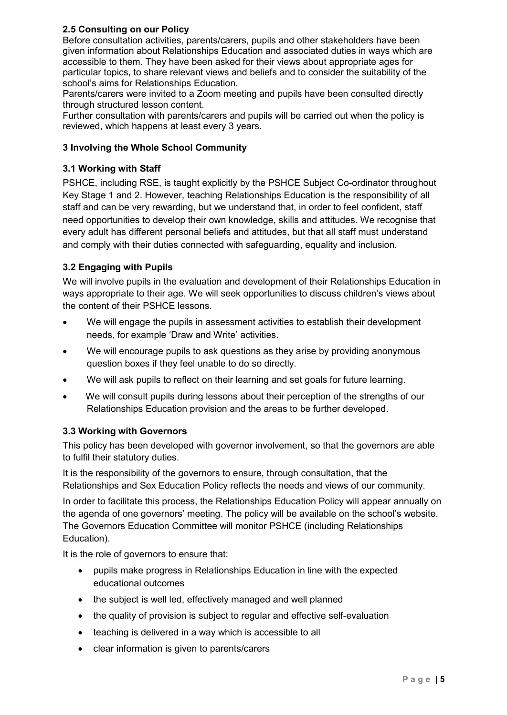# **2.5 Consulting on our Policy**

Before consultation activities, parents/carers, pupils and other stakeholders have been given information about Relationships Education and associated duties in ways which are accessible to them. They have been asked for their views about appropriate ages for particular topics, to share relevant views and beliefs and to consider the suitability of the school's aims for Relationships Education.

Parents/carers were invited to a Zoom meeting and pupils have been consulted directly through structured lesson content.

Further consultation with parents/carers and pupils will be carried out when the policy is reviewed, which happens at least every 3 years.

## **3 Involving the Whole School Community**

## **3.1 Working with Staff**

PSHCE, including RSE, is taught explicitly by the PSHCE Subject Co-ordinator throughout Key Stage 1 and 2. However, teaching Relationships Education is the responsibility of all staff and can be very rewarding, but we understand that, in order to feel confident, staff need opportunities to develop their own knowledge, skills and attitudes. We recognise that every adult has different personal beliefs and attitudes, but that all staff must understand and comply with their duties connected with safeguarding, equality and inclusion.

# **3.2 Engaging with Pupils**

We will involve pupils in the evaluation and development of their Relationships Education in ways appropriate to their age. We will seek opportunities to discuss children's views about the content of their PSHCE lessons.

- We will engage the pupils in assessment activities to establish their development needs, for example 'Draw and Write' activities.
- We will encourage pupils to ask questions as they arise by providing anonymous question boxes if they feel unable to do so directly.
- We will ask pupils to reflect on their learning and set goals for future learning.
- We will consult pupils during lessons about their perception of the strengths of our Relationships Education provision and the areas to be further developed.

#### **3.3 Working with Governors**

This policy has been developed with governor involvement, so that the governors are able to fulfil their statutory duties.

It is the responsibility of the governors to ensure, through consultation, that the Relationships and Sex Education Policy reflects the needs and views of our community.

In order to facilitate this process, the Relationships Education Policy will appear annually on the agenda of one governors' meeting. The policy will be available on the school's website. The Governors Education Committee will monitor PSHCE (including Relationships Education).

It is the role of governors to ensure that:

- pupils make progress in Relationships Education in line with the expected educational outcomes
- the subject is well led, effectively managed and well planned
- the quality of provision is subject to regular and effective self-evaluation
- teaching is delivered in a way which is accessible to all
- clear information is given to parents/carers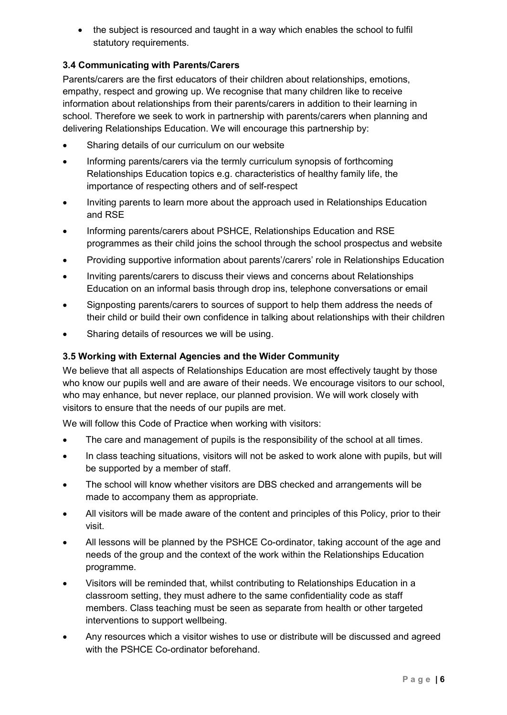• the subject is resourced and taught in a way which enables the school to fulfil statutory requirements.

# **3.4 Communicating with Parents/Carers**

Parents/carers are the first educators of their children about relationships, emotions, empathy, respect and growing up. We recognise that many children like to receive information about relationships from their parents/carers in addition to their learning in school. Therefore we seek to work in partnership with parents/carers when planning and delivering Relationships Education. We will encourage this partnership by:

- Sharing details of our curriculum on our website
- Informing parents/carers via the termly curriculum synopsis of forthcoming Relationships Education topics e.g. characteristics of healthy family life, the importance of respecting others and of self-respect
- Inviting parents to learn more about the approach used in Relationships Education and RSE
- Informing parents/carers about PSHCE, Relationships Education and RSE programmes as their child joins the school through the school prospectus and website
- Providing supportive information about parents'/carers' role in Relationships Education
- Inviting parents/carers to discuss their views and concerns about Relationships Education on an informal basis through drop ins, telephone conversations or email
- Signposting parents/carers to sources of support to help them address the needs of their child or build their own confidence in talking about relationships with their children
- Sharing details of resources we will be using.

# **3.5 Working with External Agencies and the Wider Community**

We believe that all aspects of Relationships Education are most effectively taught by those who know our pupils well and are aware of their needs. We encourage visitors to our school, who may enhance, but never replace, our planned provision. We will work closely with visitors to ensure that the needs of our pupils are met.

We will follow this Code of Practice when working with visitors:

- The care and management of pupils is the responsibility of the school at all times.
- In class teaching situations, visitors will not be asked to work alone with pupils, but will be supported by a member of staff.
- The school will know whether visitors are DBS checked and arrangements will be made to accompany them as appropriate.
- All visitors will be made aware of the content and principles of this Policy, prior to their visit.
- All lessons will be planned by the PSHCE Co-ordinator, taking account of the age and needs of the group and the context of the work within the Relationships Education programme.
- Visitors will be reminded that, whilst contributing to Relationships Education in a classroom setting, they must adhere to the same confidentiality code as staff members. Class teaching must be seen as separate from health or other targeted interventions to support wellbeing.
- Any resources which a visitor wishes to use or distribute will be discussed and agreed with the PSHCE Co-ordinator beforehand.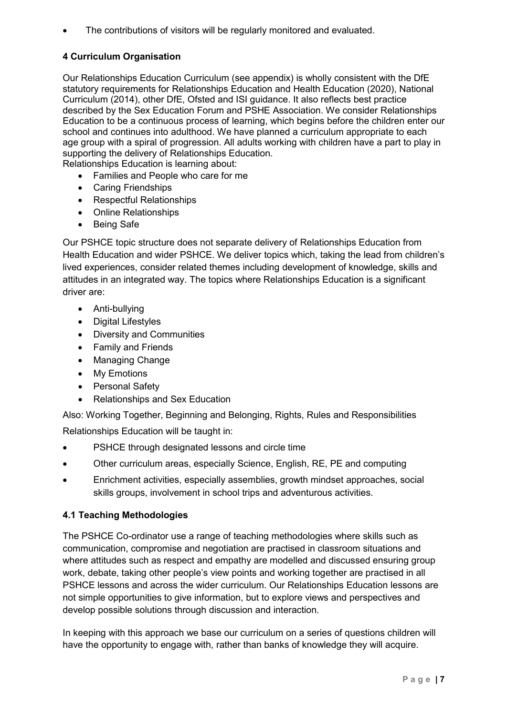The contributions of visitors will be regularly monitored and evaluated.

# **4 Curriculum Organisation**

Our Relationships Education Curriculum (see appendix) is wholly consistent with the DfE statutory requirements for Relationships Education and Health Education (2020), National Curriculum (2014), other DfE, Ofsted and ISI guidance. It also reflects best practice described by the Sex Education Forum and PSHE Association. We consider Relationships Education to be a continuous process of learning, which begins before the children enter our school and continues into adulthood. We have planned a curriculum appropriate to each age group with a spiral of progression. All adults working with children have a part to play in supporting the delivery of Relationships Education.

Relationships Education is learning about:

- Families and People who care for me
- Caring Friendships
- Respectful Relationships
- Online Relationships
- Being Safe

Our PSHCE topic structure does not separate delivery of Relationships Education from Health Education and wider PSHCE. We deliver topics which, taking the lead from children's lived experiences, consider related themes including development of knowledge, skills and attitudes in an integrated way. The topics where Relationships Education is a significant driver are:

- Anti-bullying
- Digital Lifestyles
- Diversity and Communities
- Family and Friends
- Managing Change
- My Emotions
- Personal Safety
- Relationships and Sex Education

Also: Working Together, Beginning and Belonging, Rights, Rules and Responsibilities

Relationships Education will be taught in:

- PSHCE through designated lessons and circle time
- Other curriculum areas, especially Science, English, RE, PE and computing
- Enrichment activities, especially assemblies, growth mindset approaches, social skills groups, involvement in school trips and adventurous activities.

# **4.1 Teaching Methodologies**

The PSHCE Co-ordinator use a range of teaching methodologies where skills such as communication, compromise and negotiation are practised in classroom situations and where attitudes such as respect and empathy are modelled and discussed ensuring group work, debate, taking other people's view points and working together are practised in all PSHCE lessons and across the wider curriculum. Our Relationships Education lessons are not simple opportunities to give information, but to explore views and perspectives and develop possible solutions through discussion and interaction.

In keeping with this approach we base our curriculum on a series of questions children will have the opportunity to engage with, rather than banks of knowledge they will acquire.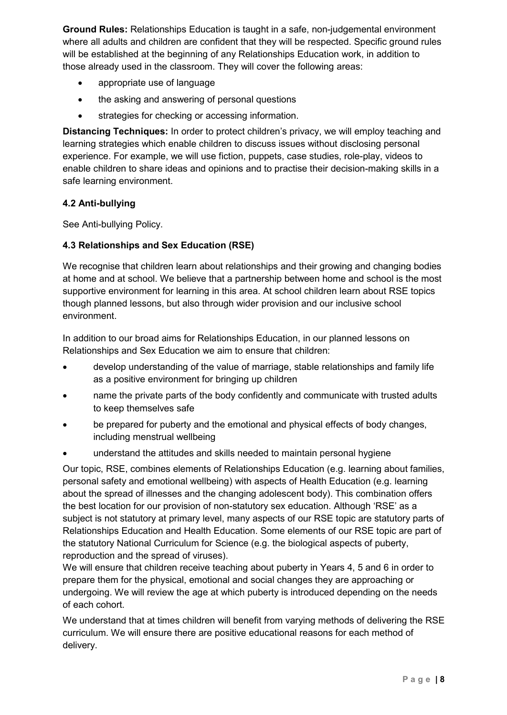**Ground Rules:** Relationships Education is taught in a safe, non-judgemental environment where all adults and children are confident that they will be respected. Specific ground rules will be established at the beginning of any Relationships Education work, in addition to those already used in the classroom. They will cover the following areas:

- appropriate use of language
- the asking and answering of personal questions
- strategies for checking or accessing information.

**Distancing Techniques:** In order to protect children's privacy, we will employ teaching and learning strategies which enable children to discuss issues without disclosing personal experience. For example, we will use fiction, puppets, case studies, role-play, videos to enable children to share ideas and opinions and to practise their decision-making skills in a safe learning environment.

# **4.2 Anti-bullying**

See Anti-bullying Policy.

# **4.3 Relationships and Sex Education (RSE)**

We recognise that children learn about relationships and their growing and changing bodies at home and at school. We believe that a partnership between home and school is the most supportive environment for learning in this area. At school children learn about RSE topics though planned lessons, but also through wider provision and our inclusive school environment.

In addition to our broad aims for Relationships Education, in our planned lessons on Relationships and Sex Education we aim to ensure that children:

- develop understanding of the value of marriage, stable relationships and family life as a positive environment for bringing up children
- name the private parts of the body confidently and communicate with trusted adults to keep themselves safe
- be prepared for puberty and the emotional and physical effects of body changes, including menstrual wellbeing
- understand the attitudes and skills needed to maintain personal hygiene

Our topic, RSE, combines elements of Relationships Education (e.g. learning about families, personal safety and emotional wellbeing) with aspects of Health Education (e.g. learning about the spread of illnesses and the changing adolescent body). This combination offers the best location for our provision of non-statutory sex education. Although 'RSE' as a subject is not statutory at primary level, many aspects of our RSE topic are statutory parts of Relationships Education and Health Education. Some elements of our RSE topic are part of the statutory National Curriculum for Science (e.g. the biological aspects of puberty, reproduction and the spread of viruses).

We will ensure that children receive teaching about puberty in Years 4, 5 and 6 in order to prepare them for the physical, emotional and social changes they are approaching or undergoing. We will review the age at which puberty is introduced depending on the needs of each cohort.

We understand that at times children will benefit from varying methods of delivering the RSE curriculum. We will ensure there are positive educational reasons for each method of delivery.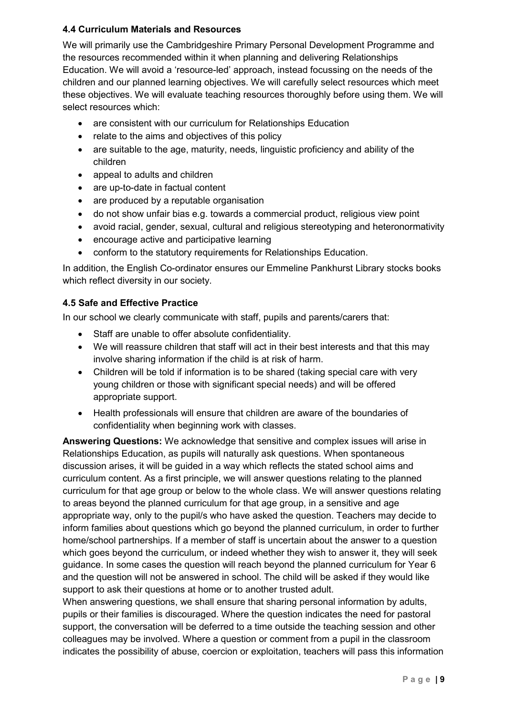# **4.4 Curriculum Materials and Resources**

We will primarily use the Cambridgeshire Primary Personal Development Programme and the resources recommended within it when planning and delivering Relationships Education. We will avoid a 'resource-led' approach, instead focussing on the needs of the children and our planned learning objectives. We will carefully select resources which meet these objectives. We will evaluate teaching resources thoroughly before using them. We will select resources which:

- are consistent with our curriculum for Relationships Education
- relate to the aims and objectives of this policy
- are suitable to the age, maturity, needs, linguistic proficiency and ability of the children
- appeal to adults and children
- are up-to-date in factual content
- are produced by a reputable organisation
- do not show unfair bias e.g. towards a commercial product, religious view point
- avoid racial, gender, sexual, cultural and religious stereotyping and heteronormativity
- encourage active and participative learning
- conform to the statutory requirements for Relationships Education.

In addition, the English Co-ordinator ensures our Emmeline Pankhurst Library stocks books which reflect diversity in our society.

# **4.5 Safe and Effective Practice**

In our school we clearly communicate with staff, pupils and parents/carers that:

- Staff are unable to offer absolute confidentiality.
- We will reassure children that staff will act in their best interests and that this may involve sharing information if the child is at risk of harm.
- Children will be told if information is to be shared (taking special care with very young children or those with significant special needs) and will be offered appropriate support.
- Health professionals will ensure that children are aware of the boundaries of confidentiality when beginning work with classes.

**Answering Questions:** We acknowledge that sensitive and complex issues will arise in Relationships Education, as pupils will naturally ask questions. When spontaneous discussion arises, it will be guided in a way which reflects the stated school aims and curriculum content. As a first principle, we will answer questions relating to the planned curriculum for that age group or below to the whole class. We will answer questions relating to areas beyond the planned curriculum for that age group, in a sensitive and age appropriate way, only to the pupil/s who have asked the question. Teachers may decide to inform families about questions which go beyond the planned curriculum, in order to further home/school partnerships. If a member of staff is uncertain about the answer to a question which goes beyond the curriculum, or indeed whether they wish to answer it, they will seek guidance. In some cases the question will reach beyond the planned curriculum for Year 6 and the question will not be answered in school. The child will be asked if they would like support to ask their questions at home or to another trusted adult.

When answering questions, we shall ensure that sharing personal information by adults, pupils or their families is discouraged. Where the question indicates the need for pastoral support, the conversation will be deferred to a time outside the teaching session and other colleagues may be involved. Where a question or comment from a pupil in the classroom indicates the possibility of abuse, coercion or exploitation, teachers will pass this information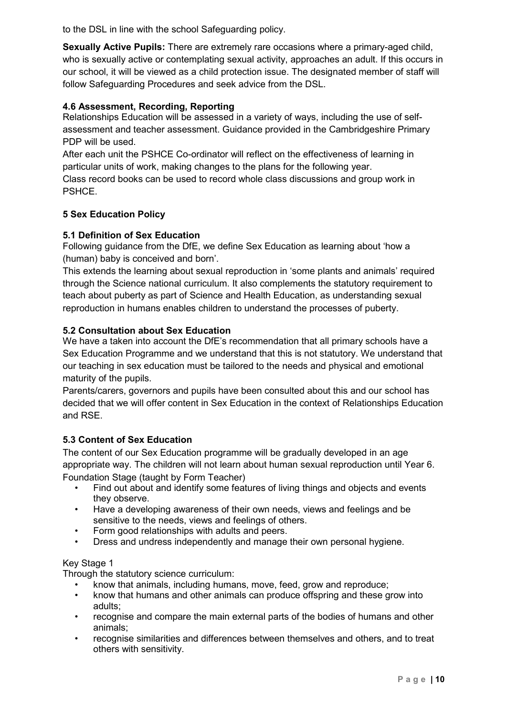to the DSL in line with the school Safeguarding policy.

**Sexually Active Pupils:** There are extremely rare occasions where a primary-aged child, who is sexually active or contemplating sexual activity, approaches an adult. If this occurs in our school, it will be viewed as a child protection issue. The designated member of staff will follow Safeguarding Procedures and seek advice from the DSL.

# **4.6 Assessment, Recording, Reporting**

Relationships Education will be assessed in a variety of ways, including the use of selfassessment and teacher assessment. Guidance provided in the Cambridgeshire Primary PDP will be used.

After each unit the PSHCE Co-ordinator will reflect on the effectiveness of learning in particular units of work, making changes to the plans for the following year.

Class record books can be used to record whole class discussions and group work in PSHCE.

# **5 Sex Education Policy**

## **5.1 Definition of Sex Education**

Following guidance from the DfE, we define Sex Education as learning about 'how a (human) baby is conceived and born'.

This extends the learning about sexual reproduction in 'some plants and animals' required through the Science national curriculum. It also complements the statutory requirement to teach about puberty as part of Science and Health Education, as understanding sexual reproduction in humans enables children to understand the processes of puberty.

#### **5.2 Consultation about Sex Education**

We have a taken into account the DfE's recommendation that all primary schools have a Sex Education Programme and we understand that this is not statutory. We understand that our teaching in sex education must be tailored to the needs and physical and emotional maturity of the pupils.

Parents/carers, governors and pupils have been consulted about this and our school has decided that we will offer content in Sex Education in the context of Relationships Education and RSE.

# **5.3 Content of Sex Education**

The content of our Sex Education programme will be gradually developed in an age appropriate way. The children will not learn about human sexual reproduction until Year 6. Foundation Stage (taught by Form Teacher)

- Find out about and identify some features of living things and objects and events they observe.
- Have a developing awareness of their own needs, views and feelings and be sensitive to the needs, views and feelings of others.
- Form good relationships with adults and peers.
- Dress and undress independently and manage their own personal hygiene.

#### Key Stage 1

Through the statutory science curriculum:

- know that animals, including humans, move, feed, grow and reproduce;
- know that humans and other animals can produce offspring and these grow into adults;
- recognise and compare the main external parts of the bodies of humans and other animals;
- recognise similarities and differences between themselves and others, and to treat others with sensitivity.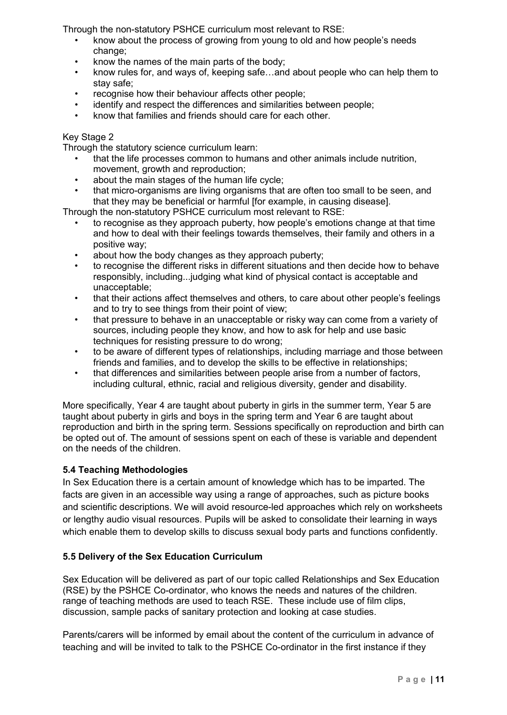Through the non-statutory PSHCE curriculum most relevant to RSE:

- know about the process of growing from young to old and how people's needs change;
- know the names of the main parts of the body;
- know rules for, and ways of, keeping safe…and about people who can help them to stay safe;
- recognise how their behaviour affects other people;
- identify and respect the differences and similarities between people:
- know that families and friends should care for each other.

#### Key Stage 2

Through the statutory science curriculum learn:

- that the life processes common to humans and other animals include nutrition, movement, growth and reproduction;
- about the main stages of the human life cycle;
- that micro-organisms are living organisms that are often too small to be seen, and that they may be beneficial or harmful [for example, in causing disease].

Through the non-statutory PSHCE curriculum most relevant to RSE:

- to recognise as they approach puberty, how people's emotions change at that time and how to deal with their feelings towards themselves, their family and others in a positive way;
- about how the body changes as they approach puberty;
- to recognise the different risks in different situations and then decide how to behave responsibly, including...judging what kind of physical contact is acceptable and unacceptable;
- that their actions affect themselves and others, to care about other people's feelings and to try to see things from their point of view;
- that pressure to behave in an unacceptable or risky way can come from a variety of sources, including people they know, and how to ask for help and use basic techniques for resisting pressure to do wrong;
- to be aware of different types of relationships, including marriage and those between friends and families, and to develop the skills to be effective in relationships;
- that differences and similarities between people arise from a number of factors, including cultural, ethnic, racial and religious diversity, gender and disability.

More specifically, Year 4 are taught about puberty in girls in the summer term, Year 5 are taught about puberty in girls and boys in the spring term and Year 6 are taught about reproduction and birth in the spring term. Sessions specifically on reproduction and birth can be opted out of. The amount of sessions spent on each of these is variable and dependent on the needs of the children.

#### **5.4 Teaching Methodologies**

In Sex Education there is a certain amount of knowledge which has to be imparted. The facts are given in an accessible way using a range of approaches, such as picture books and scientific descriptions. We will avoid resource-led approaches which rely on worksheets or lengthy audio visual resources. Pupils will be asked to consolidate their learning in ways which enable them to develop skills to discuss sexual body parts and functions confidently.

#### **5.5 Delivery of the Sex Education Curriculum**

Sex Education will be delivered as part of our topic called Relationships and Sex Education (RSE) by the PSHCE Co-ordinator, who knows the needs and natures of the children. range of teaching methods are used to teach RSE. These include use of film clips, discussion, sample packs of sanitary protection and looking at case studies.

Parents/carers will be informed by email about the content of the curriculum in advance of teaching and will be invited to talk to the PSHCE Co-ordinator in the first instance if they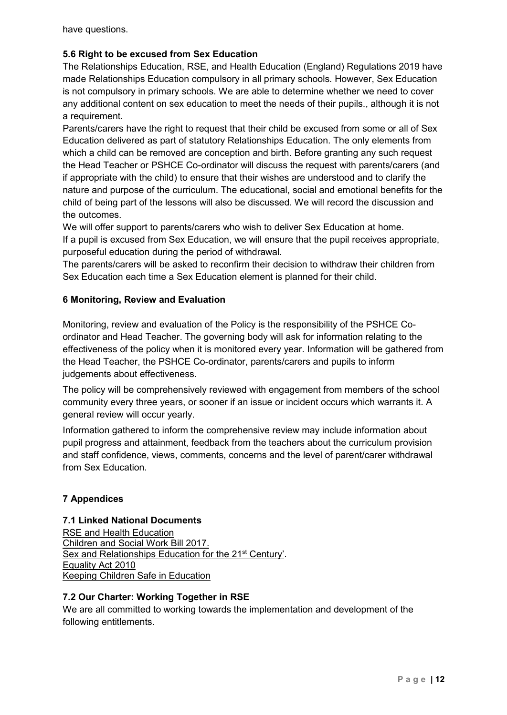have questions.

# **5.6 Right to be excused from Sex Education**

The Relationships Education, RSE, and Health Education (England) Regulations 2019 have made Relationships Education compulsory in all primary schools. However, Sex Education is not compulsory in primary schools. We are able to determine whether we need to cover any additional content on sex education to meet the needs of their pupils., although it is not a requirement.

Parents/carers have the right to request that their child be excused from some or all of Sex Education delivered as part of statutory Relationships Education. The only elements from which a child can be removed are conception and birth. Before granting any such request the Head Teacher or PSHCE Co-ordinator will discuss the request with parents/carers (and if appropriate with the child) to ensure that their wishes are understood and to clarify the nature and purpose of the curriculum. The educational, social and emotional benefits for the child of being part of the lessons will also be discussed. We will record the discussion and the outcomes.

We will offer support to parents/carers who wish to deliver Sex Education at home. If a pupil is excused from Sex Education, we will ensure that the pupil receives appropriate, purposeful education during the period of withdrawal.

The parents/carers will be asked to reconfirm their decision to withdraw their children from Sex Education each time a Sex Education element is planned for their child.

#### **6 Monitoring, Review and Evaluation**

Monitoring, review and evaluation of the Policy is the responsibility of the PSHCE Coordinator and Head Teacher. The governing body will ask for information relating to the effectiveness of the policy when it is monitored every year. Information will be gathered from the Head Teacher, the PSHCE Co-ordinator, parents/carers and pupils to inform judgements about effectiveness.

The policy will be comprehensively reviewed with engagement from members of the school community every three years, or sooner if an issue or incident occurs which warrants it. A general review will occur yearly.

Information gathered to inform the comprehensive review may include information about pupil progress and attainment, feedback from the teachers about the curriculum provision and staff confidence, views, comments, concerns and the level of parent/carer withdrawal from Sex Education.

# **7 Appendices**

#### **7.1 Linked National Documents**

RSE and Health Education Children and Social Work Bill 2017. Sex and Relationships Education for the 21<sup>st</sup> Century'. Equality Act 2010 Keeping Children Safe in Education

#### **7.2 Our Charter: Working Together in RSE**

We are all committed to working towards the implementation and development of the following entitlements.